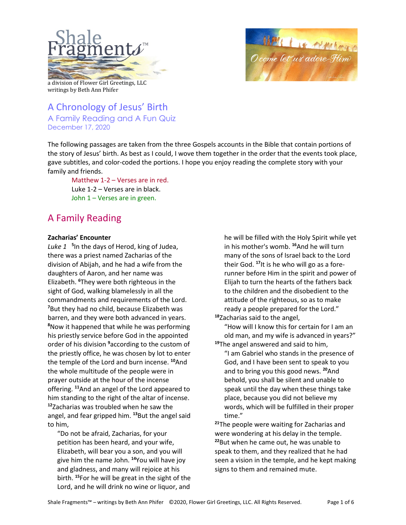



a division of Flower Girl Greetings, LLC writings by Beth Ann Phifer

A Chronology of Jesus' Birth A Family Reading and A Fun Quiz December 17, 2020

The following passages are taken from the three Gospels accounts in the Bible that contain portions of the story of Jesus' birth. As best as I could, I wove them together in the order that the events took place, gave subtitles, and color-coded the portions. I hope you enjoy reading the complete story with your family and friends.

Matthew 1-2 – Verses are in red. Luke 1-2 – Verses are in black. John 1 – Verses are in green.

# A Family Reading

# **Zacharias' Encounter**

Luke 1<sup>5</sup>In the days of Herod, king of Judea, there was a priest named Zacharias of the division of Abijah, and he had a wife from the daughters of Aaron, and her name was Elizabeth. **<sup>6</sup>** They were both righteous in the sight of God, walking blamelessly in all the commandments and requirements of the Lord. **7** But they had no child, because Elizabeth was barren, and they were both advanced in years. **8** Now it happened that while he was performing his priestly service before God in the appointed order of his division **<sup>9</sup>** according to the custom of the priestly office, he was chosen by lot to enter the temple of the Lord and burn incense. **<sup>10</sup>**And the whole multitude of the people were in prayer outside at the hour of the incense offering. **<sup>11</sup>**And an angel of the Lord appeared to him standing to the right of the altar of incense. **<sup>12</sup>**Zacharias was troubled when he saw the angel, and fear gripped him. **<sup>13</sup>**But the angel said to him,

"Do not be afraid, Zacharias, for your petition has been heard, and your wife, Elizabeth, will bear you a son, and you will give him the name John. **<sup>14</sup>**You will have joy and gladness, and many will rejoice at his birth. **<sup>15</sup>**For he will be great in the sight of the Lord, and he will drink no wine or liquor, and

he will be filled with the Holy Spirit while yet in his mother's womb. **<sup>16</sup>**And he will turn many of the sons of Israel back to the Lord their God. **17**It is he who will go as a forerunner before Him in the spirit and power of Elijah to turn the hearts of the fathers back to the children and the disobedient to the attitude of the righteous, so as to make ready a people prepared for the Lord." **<sup>18</sup>**Zacharias said to the angel,

"How will I know this for certain for I am an old man, and my wife is advanced in years?" **<sup>19</sup>**The angel answered and said to him,

"I am Gabriel who stands in the presence of God, and I have been sent to speak to you and to bring you this good news. **<sup>20</sup>**And behold, you shall be silent and unable to speak until the day when these things take place, because you did not believe my words, which will be fulfilled in their proper time."

**<sup>21</sup>**The people were waiting for Zacharias and were wondering at his delay in the temple. **<sup>22</sup>**But when he came out, he was unable to speak to them, and they realized that he had seen a vision in the temple, and he kept making signs to them and remained mute.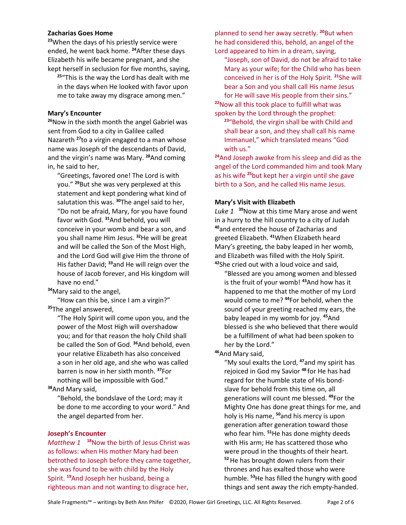#### **Zacharias Goes Home**

**<sup>23</sup>**When the days of his priestly service were ended, he went back home. **<sup>24</sup>**After these days Elizabeth his wife became pregnant, and she kept herself in seclusion for five months, saying,

**<sup>25</sup>**"This is the way the Lord has dealt with me in the days when He looked with favor upon me to take away my disgrace among men."

## **Mary's Encounter**

**<sup>26</sup>**Now in the sixth month the angel Gabriel was sent from God to a city in Galilee called Nazareth **<sup>27</sup>**to a virgin engaged to a man whose name was Joseph of the descendants of David, and the virgin's name was Mary. **<sup>28</sup>**And coming in, he said to her,

"Greetings, favored one! The Lord is with you." **<sup>29</sup>**But she was very perplexed at this statement and kept pondering what kind of salutation this was. **<sup>30</sup>**The angel said to her, "Do not be afraid, Mary, for you have found favor with God. **<sup>31</sup>**And behold, you will conceive in your womb and bear a son, and you shall name Him Jesus. **<sup>32</sup>**He will be great and will be called the Son of the Most High, and the Lord God will give Him the throne of His father David; **<sup>33</sup>**and He will reign over the house of Jacob forever, and His kingdom will have no end."

**<sup>34</sup>**Mary said to the angel,

"How can this be, since I am a virgin?" **<sup>35</sup>**The angel answered,

"The Holy Spirit will come upon you, and the power of the Most High will overshadow you; and for that reason the holy Child shall be called the Son of God. **<sup>36</sup>**And behold, even your relative Elizabeth has also conceived a son in her old age, and she who was called barren is now in her sixth month. **<sup>37</sup>**For nothing will be impossible with God."

**<sup>38</sup>**And Mary said,

"Behold, the bondslave of the Lord; may it be done to me according to your word." And the angel departed from her.

#### **Joseph's Encounter**

*Matthew 1* **<sup>18</sup>**Now the birth of Jesus Christ was as follows: when His mother Mary had been betrothed to Joseph before they came together, she was found to be with child by the Holy Spirit. **<sup>19</sup>**And Joseph her husband, being a righteous man and not wanting to disgrace her,

planned to send her away secretly. **<sup>20</sup>**But when he had considered this, behold, an angel of the Lord appeared to him in a dream, saying,

"Joseph, son of David, do not be afraid to take Mary as your wife; for the Child who has been conceived in her is of the Holy Spirit. **<sup>21</sup>**She will bear a Son and you shall call His name Jesus for He will save His people from their sins."

**<sup>22</sup>**Now all this took place to fulfill what was spoken by the Lord through the prophet:

**<sup>23</sup>**"Behold, the virgin shall be with Child and shall bear a son, and they shall call his name Immanuel," which translated means "God with us."

**<sup>24</sup>**And Joseph awoke from his sleep and did as the angel of the Lord commanded him and took Mary as his wife **<sup>25</sup>**but kept her a virgin until she gave birth to a Son, and he called His name Jesus.

#### **Mary's Visit with Elizabeth**

*Luke 1* **<sup>39</sup>**Now at this time Mary arose and went in a hurry to the hill country to a city of Judah **<sup>40</sup>**and entered the house of Zacharias and greeted Elizabeth. **<sup>41</sup>**When Elizabeth heard Mary's greeting, the baby leaped in her womb, and Elizabeth was filled with the Holy Spirit. **<sup>42</sup>**She cried out with a loud voice and said,

"Blessed are you among women and blessed is the fruit of your womb! **<sup>43</sup>**And how has it happened to me that the mother of my Lord would come to me? **<sup>44</sup>**For behold, when the sound of your greeting reached my ears, the baby leaped in my womb for joy. **<sup>45</sup>**And blessed is she who believed that there would be a fulfillment of what had been spoken to her by the Lord."

**<sup>46</sup>**And Mary said,

"My soul exalts the Lord, **<sup>47</sup>**and my spirit has rejoiced in God my Savior **<sup>48</sup>**for He has had regard for the humble state of His bondslave for behold from this time on, all generations will count me blessed. **<sup>49</sup>**For the Mighty One has done great things for me, and holy is His name, **<sup>50</sup>**and his mercy is upon generation after generation toward those who fear him. **<sup>51</sup>**He has done mighty deeds with His arm; He has scattered those who were proud in the thoughts of their heart. **<sup>52</sup>**He has brought down rulers from their thrones and has exalted those who were humble. **<sup>53</sup>**He has filled the hungry with good things and sent away the rich empty-handed.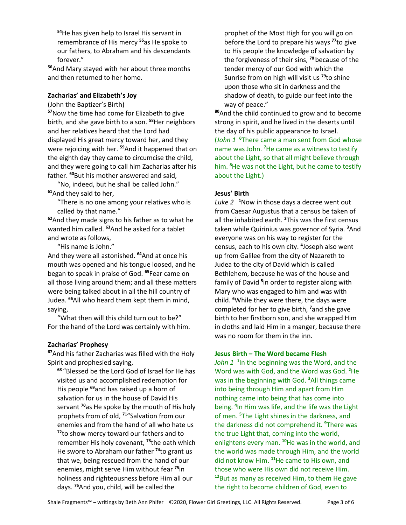**<sup>54</sup>**He has given help to Israel His servant in remembrance of His mercy **<sup>55</sup>**as He spoke to our fathers, to Abraham and his descendants forever."

**<sup>56</sup>**And Mary stayed with her about three months and then returned to her home.

#### **Zacharias' and Elizabeth's Joy**

(John the Baptizer's Birth)

**<sup>57</sup>**Now the time had come for Elizabeth to give birth, and she gave birth to a son. **<sup>58</sup>**Her neighbors and her relatives heard that the Lord had displayed His great mercy toward her, and they were rejoicing with her. **<sup>59</sup>**And it happened that on the eighth day they came to circumcise the child, and they were going to call him Zacharias after his father. **<sup>60</sup>**But his mother answered and said,

"No, indeed, but he shall be called John." **<sup>61</sup>**And they said to her,

"There is no one among your relatives who is called by that name."

**<sup>62</sup>**And they made signs to his father as to what he wanted him called. **<sup>63</sup>**And he asked for a tablet and wrote as follows,

"His name is John."

And they were all astonished. **<sup>64</sup>**And at once his mouth was opened and his tongue loosed, and he began to speak in praise of God. **<sup>65</sup>**Fear came on all those living around them; and all these matters were being talked about in all the hill country of Judea. **<sup>66</sup>**All who heard them kept them in mind, saying,

"What then will this child turn out to be?" For the hand of the Lord was certainly with him.

## **Zacharias' Prophesy**

**<sup>67</sup>**And his father Zacharias was filled with the Holy Spirit and prophesied saying,

**<sup>68</sup>**"Blessed be the Lord God of Israel for He has visited us and accomplished redemption for His people **<sup>69</sup>**and has raised up a horn of salvation for us in the house of David His servant **<sup>70</sup>**as He spoke by the mouth of His holy prophets from of old, **<sup>71</sup>**"Salvation from our enemies and from the hand of all who hate us **<sup>72</sup>**to show mercy toward our fathers and to remember His holy covenant, **<sup>73</sup>**the oath which He swore to Abraham our father **<sup>74</sup>**to grant us that we, being rescued from the hand of our enemies, might serve Him without fear **<sup>75</sup>**in holiness and righteousness before Him all our days. **<sup>76</sup>**And you, child, will be called the

prophet of the Most High for you will go on before the Lord to prepare his ways **<sup>77</sup>**to give to His people the knowledge of salvation by the forgiveness of their sins, **<sup>78</sup>**because of the tender mercy of our God with which the Sunrise from on high will visit us **<sup>79</sup>**to shine upon those who sit in darkness and the shadow of death, to guide our feet into the way of peace."

**<sup>80</sup>**And the child continued to grow and to become strong in spirit, and he lived in the deserts until the day of his public appearance to Israel. (*John 1* **<sup>6</sup>** There came a man sent from God whose name was John. **<sup>7</sup>** He came as a witness to testify about the Light, so that all might believe through him. **<sup>8</sup>** He was not the Light, but he came to testify about the Light.)

#### **Jesus' Birth**

*Luke 2* **<sup>1</sup>** Now in those days a decree went out from Caesar Augustus that a census be taken of all the inhabited earth. **<sup>2</sup>** This was the first census taken while Quirinius was governor of Syria. **<sup>3</sup>** And everyone was on his way to register for the census, each to his own city. **<sup>4</sup>** Joseph also went up from Galilee from the city of Nazareth to Judea to the city of David which is called Bethlehem, because he was of the house and family of David **<sup>5</sup>** in order to register along with Mary who was engaged to him and was with child. **<sup>6</sup>** While they were there, the days were completed for her to give birth, **<sup>7</sup>** and she gave birth to her firstborn son, and she wrapped Him in cloths and laid Him in a manger, because there was no room for them in the inn.

#### **Jesus Birth – The Word became Flesh**

John 1<sup>1</sup> In the beginning was the Word, and the Word was with God, and the Word was God. **<sup>2</sup>** He was in the beginning with God. **<sup>3</sup>** All things came into being through Him and apart from Him nothing came into being that has come into being. **<sup>4</sup>** In Him was life, and the life was the Light of men. **<sup>5</sup>** The Light shines in the darkness, and the darkness did not comprehend it. **<sup>9</sup>** There was the true Light that, coming into the world, enlightens every man. **<sup>10</sup>**He was in the world, and the world was made through Him, and the world did not know Him. **<sup>11</sup>**He came to His own, and those who were His own did not receive Him. **<sup>12</sup>**But as many as received Him, to them He gave the right to become children of God, even to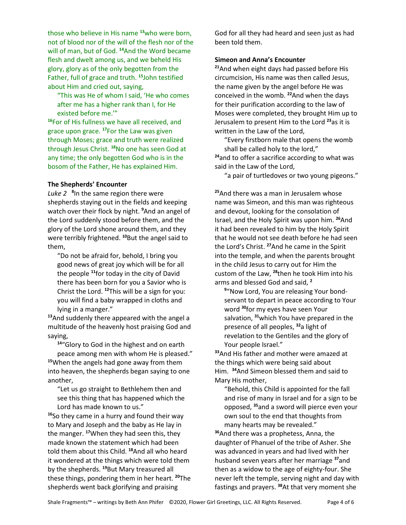those who believe in His name **<sup>13</sup>**who were born, not of blood nor of the will of the flesh nor of the will of man, but of God. **<sup>14</sup>**And the Word became flesh and dwelt among us, and we beheld His glory, glory as of the only begotten from the Father, full of grace and truth. **<sup>15</sup>**John testified about Him and cried out, saying,

"This was He of whom I said, 'He who comes after me has a higher rank than I, for He existed before me.'"

**<sup>16</sup>**For of His fullness we have all received, and grace upon grace. **<sup>17</sup>**For the Law was given through Moses; grace and truth were realized through Jesus Christ. **<sup>18</sup>**No one has seen God at any time; the only begotten God who is in the bosom of the Father, He has explained Him.

## **The Shepherds' Encounter**

Luke 2<sup>8</sup>In the same region there were shepherds staying out in the fields and keeping watch over their flock by night. **<sup>9</sup>** And an angel of the Lord suddenly stood before them, and the glory of the Lord shone around them, and they were terribly frightened. **<sup>10</sup>**But the angel said to them,

"Do not be afraid for, behold, I bring you good news of great joy which will be for all the people **<sup>11</sup>**for today in the city of David there has been born for you a Savior who is Christ the Lord. **<sup>12</sup>**This will be a sign for you: you will find a baby wrapped in cloths and lying in a manger."

**<sup>13</sup>**And suddenly there appeared with the angel a multitude of the heavenly host praising God and saying,

**<sup>14</sup>**"Glory to God in the highest and on earth

peace among men with whom He is pleased." **<sup>15</sup>**When the angels had gone away from them into heaven, the shepherds began saying to one another,

"Let us go straight to Bethlehem then and see this thing that has happened which the Lord has made known to us."

**<sup>16</sup>**So they came in a hurry and found their way to Mary and Joseph and the baby as He lay in the manger. **<sup>17</sup>**When they had seen this, they made known the statement which had been told them about this Child. **<sup>18</sup>**And all who heard it wondered at the things which were told them by the shepherds. **<sup>19</sup>**But Mary treasured all these things, pondering them in her heart. **<sup>20</sup>**The shepherds went back glorifying and praising

God for all they had heard and seen just as had been told them.

#### **Simeon and Anna's Encounter**

**<sup>21</sup>**And when eight days had passed before His circumcision, His name was then called Jesus, the name given by the angel before He was conceived in the womb. **<sup>22</sup>**And when the days for their purification according to the law of Moses were completed, they brought Him up to Jerusalem to present Him to the Lord **<sup>23</sup>**as it is written in the Law of the Lord,

"Every firstborn male that opens the womb shall be called holy to the lord,"

**<sup>24</sup>**and to offer a sacrifice according to what was said in the Law of the Lord,

"a pair of turtledoves or two young pigeons."

**<sup>25</sup>**And there was a man in Jerusalem whose name was Simeon, and this man was righteous and devout, looking for the consolation of Israel, and the Holy Spirit was upon him. **<sup>26</sup>**And it had been revealed to him by the Holy Spirit that he would not see death before he had seen the Lord's Christ. **<sup>27</sup>**And he came in the Spirit into the temple, and when the parents brought in the child Jesus to carry out for Him the custom of the Law, **<sup>28</sup>**then he took Him into his arms and blessed God and said, **<sup>2</sup>**

**9** "Now Lord, You are releasing Your bondservant to depart in peace according to Your word **<sup>30</sup>**for my eyes have seen Your salvation, **<sup>31</sup>**which You have prepared in the presence of all peoples, **<sup>32</sup>**a light of revelation to the Gentiles and the glory of Your people Israel."

**<sup>33</sup>**And His father and mother were amazed at the things which were being said about Him. **<sup>34</sup>**And Simeon blessed them and said to Mary His mother,

"Behold, this Child is appointed for the fall and rise of many in Israel and for a sign to be opposed, **<sup>35</sup>**and a sword will pierce even your own soul to the end that thoughts from many hearts may be revealed."

**<sup>36</sup>**And there was a prophetess, Anna, the daughter of Phanuel of the tribe of Asher. She was advanced in years and had lived with her husband seven years after her marriage **<sup>37</sup>**and then as a widow to the age of eighty-four. She never left the temple, serving night and day with fastings and prayers. **38**At that very moment she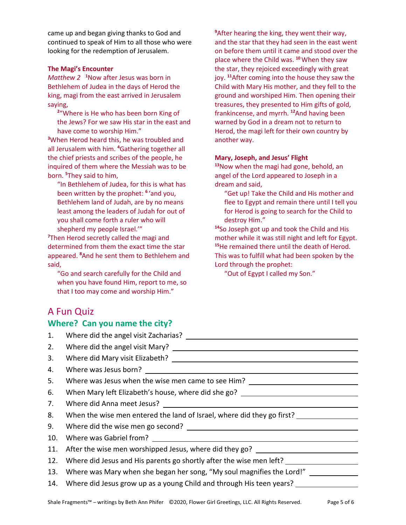came up and began giving thanks to God and continued to speak of Him to all those who were looking for the redemption of Jerusalem.

#### **The Magi's Encounter**

*Matthew 2* **<sup>1</sup>** Now after Jesus was born in Bethlehem of Judea in the days of Herod the king, magi from the east arrived in Jerusalem saying,

**2** "Where is He who has been born King of the Jews? For we saw His star in the east and have come to worship Him."

**3** When Herod heard this, he was troubled and all Jerusalem with him. **<sup>4</sup>** Gathering together all the chief priests and scribes of the people, he inquired of them where the Messiah was to be born. **<sup>5</sup>** They said to him,

"In Bethlehem of Judea, for this is what has been written by the prophet: **<sup>6</sup>** 'and you, Bethlehem land of Judah, are by no means least among the leaders of Judah for out of you shall come forth a ruler who will shepherd my people Israel.'"

**7** Then Herod secretly called the magi and determined from them the exact time the star appeared. **<sup>8</sup>** And he sent them to Bethlehem and said,

"Go and search carefully for the Child and when you have found Him, report to me, so that I too may come and worship Him."

**9** After hearing the king, they went their way, and the star that they had seen in the east went on before them until it came and stood over the place where the Child was. **<sup>10</sup>**When they saw the star, they rejoiced exceedingly with great joy. **<sup>11</sup>**After coming into the house they saw the Child with Mary His mother, and they fell to the ground and worshiped Him. Then opening their treasures, they presented to Him gifts of gold, frankincense, and myrrh. **<sup>12</sup>**And having been warned by God in a dream not to return to Herod, the magi left for their own country by another way.

#### **Mary, Joseph, and Jesus' Flight**

**<sup>13</sup>**Now when the magi had gone, behold, an angel of the Lord appeared to Joseph in a dream and said,

"Get up! Take the Child and His mother and flee to Egypt and remain there until I tell you for Herod is going to search for the Child to destroy Him."

**<sup>14</sup>**So Joseph got up and took the Child and His mother while it was still night and left for Egypt. **<sup>15</sup>**He remained there until the death of Herod. This was to fulfill what had been spoken by the Lord through the prophet:

"Out of Egypt I called my Son."

# A Fun Quiz

# **Where? Can you name the city?**

| 1.  |                                                                                  |
|-----|----------------------------------------------------------------------------------|
| 2.  |                                                                                  |
| 3.  |                                                                                  |
| 4.  |                                                                                  |
| 5.  | Where was Jesus when the wise men came to see Him? _____________________________ |
| 6.  | When Mary left Elizabeth's house, where did she go? ____________________________ |
| 7.  |                                                                                  |
| 8.  | When the wise men entered the land of Israel, where did they go first?           |
| 9.  |                                                                                  |
| 10. |                                                                                  |
| 11. | After the wise men worshipped Jesus, where did they go? ________________________ |
| 12. | Where did Jesus and His parents go shortly after the wise men left?              |
| 13. | Where was Mary when she began her song, "My soul magnifies the Lord!"            |
|     | 14. Where did Jesus grow up as a young Child and through His teen years?         |
|     |                                                                                  |